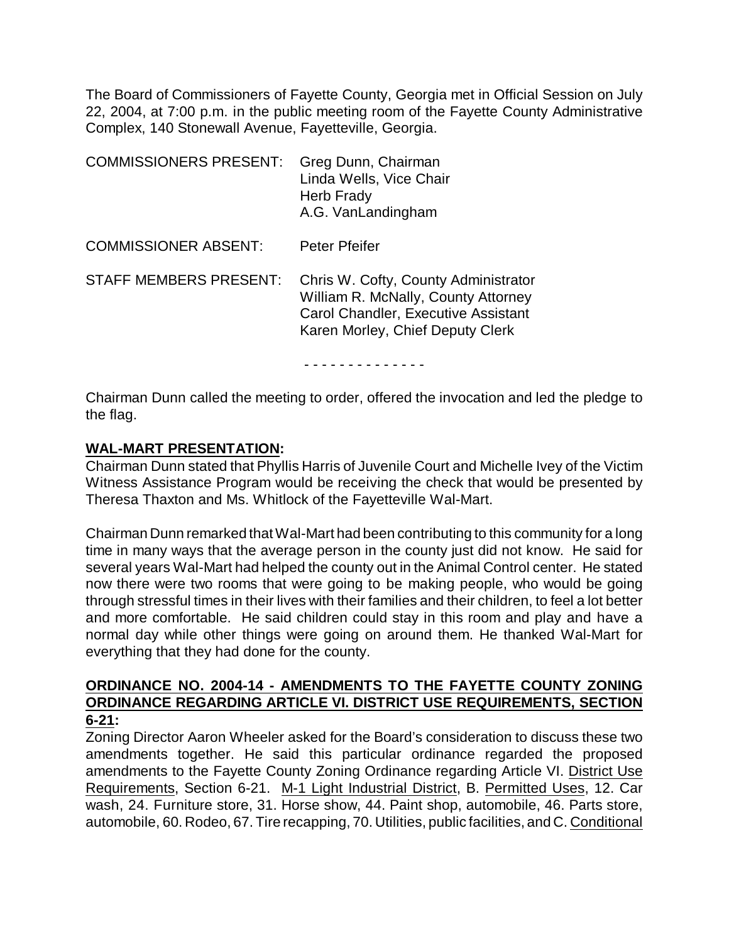The Board of Commissioners of Fayette County, Georgia met in Official Session on July 22, 2004, at 7:00 p.m. in the public meeting room of the Fayette County Administrative Complex, 140 Stonewall Avenue, Fayetteville, Georgia.

| <b>COMMISSIONERS PRESENT:</b> | Greg Dunn, Chairman<br>Linda Wells, Vice Chair<br><b>Herb Frady</b><br>A.G. VanLandingham                                                              |
|-------------------------------|--------------------------------------------------------------------------------------------------------------------------------------------------------|
| <b>COMMISSIONER ABSENT:</b>   | Peter Pfeifer                                                                                                                                          |
| <b>STAFF MEMBERS PRESENT:</b> | Chris W. Cofty, County Administrator<br>William R. McNally, County Attorney<br>Carol Chandler, Executive Assistant<br>Karen Morley, Chief Deputy Clerk |

Chairman Dunn called the meeting to order, offered the invocation and led the pledge to the flag.

- - - - - - - - - - - - - -

## **WAL-MART PRESENTATION:**

Chairman Dunn stated that Phyllis Harris of Juvenile Court and Michelle Ivey of the Victim Witness Assistance Program would be receiving the check that would be presented by Theresa Thaxton and Ms. Whitlock of the Fayetteville Wal-Mart.

Chairman Dunn remarked that Wal-Mart had been contributing to this community for a long time in many ways that the average person in the county just did not know. He said for several years Wal-Mart had helped the county out in the Animal Control center. He stated now there were two rooms that were going to be making people, who would be going through stressful times in their lives with their families and their children, to feel a lot better and more comfortable. He said children could stay in this room and play and have a normal day while other things were going on around them. He thanked Wal-Mart for everything that they had done for the county.

## **ORDINANCE NO. 2004-14 - AMENDMENTS TO THE FAYETTE COUNTY ZONING ORDINANCE REGARDING ARTICLE VI. DISTRICT USE REQUIREMENTS, SECTION 6-21:**

Zoning Director Aaron Wheeler asked for the Board's consideration to discuss these two amendments together. He said this particular ordinance regarded the proposed amendments to the Fayette County Zoning Ordinance regarding Article VI. District Use Requirements, Section 6-21. M-1 Light Industrial District, B. Permitted Uses, 12. Car wash, 24. Furniture store, 31. Horse show, 44. Paint shop, automobile, 46. Parts store, automobile, 60. Rodeo, 67. Tire recapping, 70. Utilities, public facilities, and C. Conditional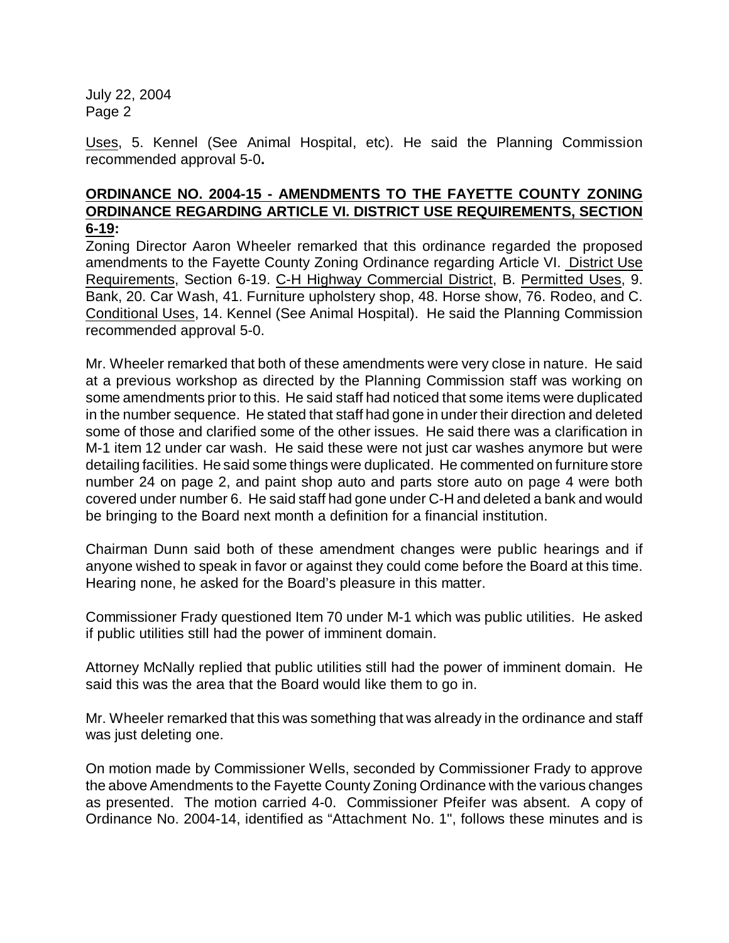Uses, 5. Kennel (See Animal Hospital, etc). He said the Planning Commission recommended approval 5-0**.** 

## **ORDINANCE NO. 2004-15 - AMENDMENTS TO THE FAYETTE COUNTY ZONING ORDINANCE REGARDING ARTICLE VI. DISTRICT USE REQUIREMENTS, SECTION 6-19:**

Zoning Director Aaron Wheeler remarked that this ordinance regarded the proposed amendments to the Fayette County Zoning Ordinance regarding Article VI. District Use Requirements, Section 6-19. C-H Highway Commercial District, B. Permitted Uses, 9. Bank, 20. Car Wash, 41. Furniture upholstery shop, 48. Horse show, 76. Rodeo, and C. Conditional Uses, 14. Kennel (See Animal Hospital). He said the Planning Commission recommended approval 5-0.

Mr. Wheeler remarked that both of these amendments were very close in nature. He said at a previous workshop as directed by the Planning Commission staff was working on some amendments prior to this. He said staff had noticed that some items were duplicated in the number sequence. He stated that staff had gone in under their direction and deleted some of those and clarified some of the other issues. He said there was a clarification in M-1 item 12 under car wash. He said these were not just car washes anymore but were detailing facilities. He said some things were duplicated. He commented on furniture store number 24 on page 2, and paint shop auto and parts store auto on page 4 were both covered under number 6. He said staff had gone under C-H and deleted a bank and would be bringing to the Board next month a definition for a financial institution.

Chairman Dunn said both of these amendment changes were public hearings and if anyone wished to speak in favor or against they could come before the Board at this time. Hearing none, he asked for the Board's pleasure in this matter.

Commissioner Frady questioned Item 70 under M-1 which was public utilities. He asked if public utilities still had the power of imminent domain.

Attorney McNally replied that public utilities still had the power of imminent domain. He said this was the area that the Board would like them to go in.

Mr. Wheeler remarked that this was something that was already in the ordinance and staff was just deleting one.

On motion made by Commissioner Wells, seconded by Commissioner Frady to approve the above Amendments to the Fayette County Zoning Ordinance with the various changes as presented. The motion carried 4-0. Commissioner Pfeifer was absent. A copy of Ordinance No. 2004-14, identified as "Attachment No. 1", follows these minutes and is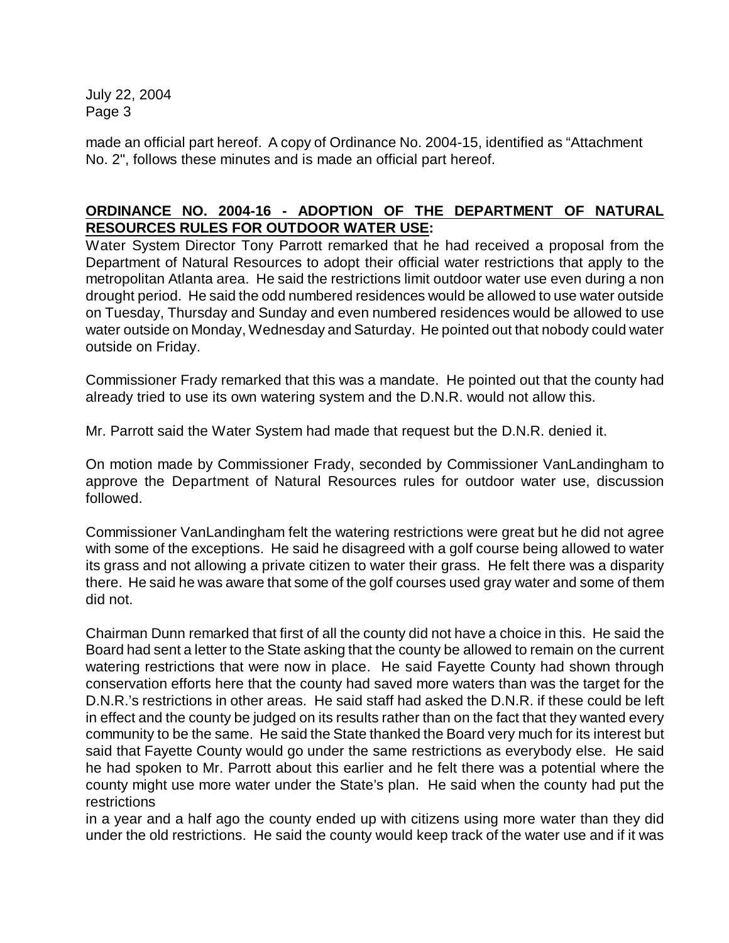made an official part hereof. A copy of Ordinance No. 2004-15, identified as "Attachment No. 2", follows these minutes and is made an official part hereof.

# **ORDINANCE NO. 2004-16 - ADOPTION OF THE DEPARTMENT OF NATURAL RESOURCES RULES FOR OUTDOOR WATER USE:**

Water System Director Tony Parrott remarked that he had received a proposal from the Department of Natural Resources to adopt their official water restrictions that apply to the metropolitan Atlanta area. He said the restrictions limit outdoor water use even during a non drought period. He said the odd numbered residences would be allowed to use water outside on Tuesday, Thursday and Sunday and even numbered residences would be allowed to use water outside on Monday, Wednesday and Saturday. He pointed out that nobody could water outside on Friday.

Commissioner Frady remarked that this was a mandate. He pointed out that the county had already tried to use its own watering system and the D.N.R. would not allow this.

Mr. Parrott said the Water System had made that request but the D.N.R. denied it.

On motion made by Commissioner Frady, seconded by Commissioner VanLandingham to approve the Department of Natural Resources rules for outdoor water use, discussion followed.

Commissioner VanLandingham felt the watering restrictions were great but he did not agree with some of the exceptions. He said he disagreed with a golf course being allowed to water its grass and not allowing a private citizen to water their grass. He felt there was a disparity there. He said he was aware that some of the golf courses used gray water and some of them did not.

Chairman Dunn remarked that first of all the county did not have a choice in this. He said the Board had sent a letter to the State asking that the county be allowed to remain on the current watering restrictions that were now in place. He said Fayette County had shown through conservation efforts here that the county had saved more waters than was the target for the D.N.R.'s restrictions in other areas. He said staff had asked the D.N.R. if these could be left in effect and the county be judged on its results rather than on the fact that they wanted every community to be the same. He said the State thanked the Board very much for its interest but said that Fayette County would go under the same restrictions as everybody else. He said he had spoken to Mr. Parrott about this earlier and he felt there was a potential where the county might use more water under the State's plan. He said when the county had put the restrictions

in a year and a half ago the county ended up with citizens using more water than they did under the old restrictions. He said the county would keep track of the water use and if it was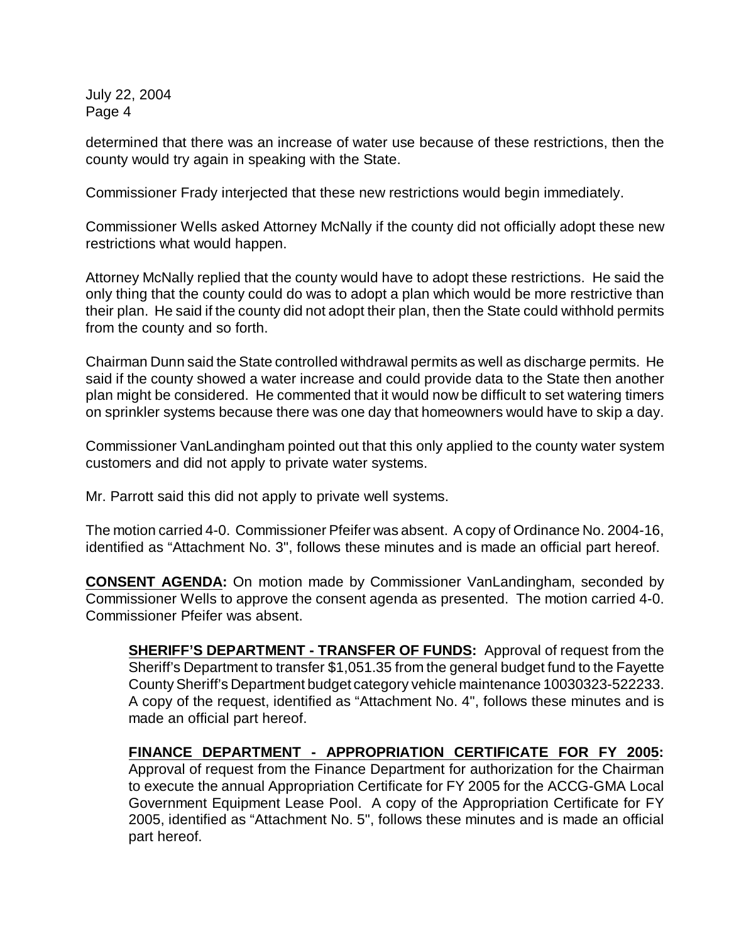determined that there was an increase of water use because of these restrictions, then the county would try again in speaking with the State.

Commissioner Frady interjected that these new restrictions would begin immediately.

Commissioner Wells asked Attorney McNally if the county did not officially adopt these new restrictions what would happen.

Attorney McNally replied that the county would have to adopt these restrictions. He said the only thing that the county could do was to adopt a plan which would be more restrictive than their plan. He said if the county did not adopt their plan, then the State could withhold permits from the county and so forth.

Chairman Dunn said the State controlled withdrawal permits as well as discharge permits. He said if the county showed a water increase and could provide data to the State then another plan might be considered. He commented that it would now be difficult to set watering timers on sprinkler systems because there was one day that homeowners would have to skip a day.

Commissioner VanLandingham pointed out that this only applied to the county water system customers and did not apply to private water systems.

Mr. Parrott said this did not apply to private well systems.

The motion carried 4-0. Commissioner Pfeifer was absent. A copy of Ordinance No. 2004-16, identified as "Attachment No. 3", follows these minutes and is made an official part hereof.

**CONSENT AGENDA:** On motion made by Commissioner VanLandingham, seconded by Commissioner Wells to approve the consent agenda as presented. The motion carried 4-0. Commissioner Pfeifer was absent.

**SHERIFF'S DEPARTMENT - TRANSFER OF FUNDS:** Approval of request from the Sheriff's Department to transfer \$1,051.35 from the general budget fund to the Fayette County Sheriff's Department budget category vehicle maintenance 10030323-522233. A copy of the request, identified as "Attachment No. 4", follows these minutes and is made an official part hereof.

**FINANCE DEPARTMENT - APPROPRIATION CERTIFICATE FOR FY 2005:** Approval of request from the Finance Department for authorization for the Chairman to execute the annual Appropriation Certificate for FY 2005 for the ACCG-GMA Local Government Equipment Lease Pool. A copy of the Appropriation Certificate for FY 2005, identified as "Attachment No. 5", follows these minutes and is made an official part hereof.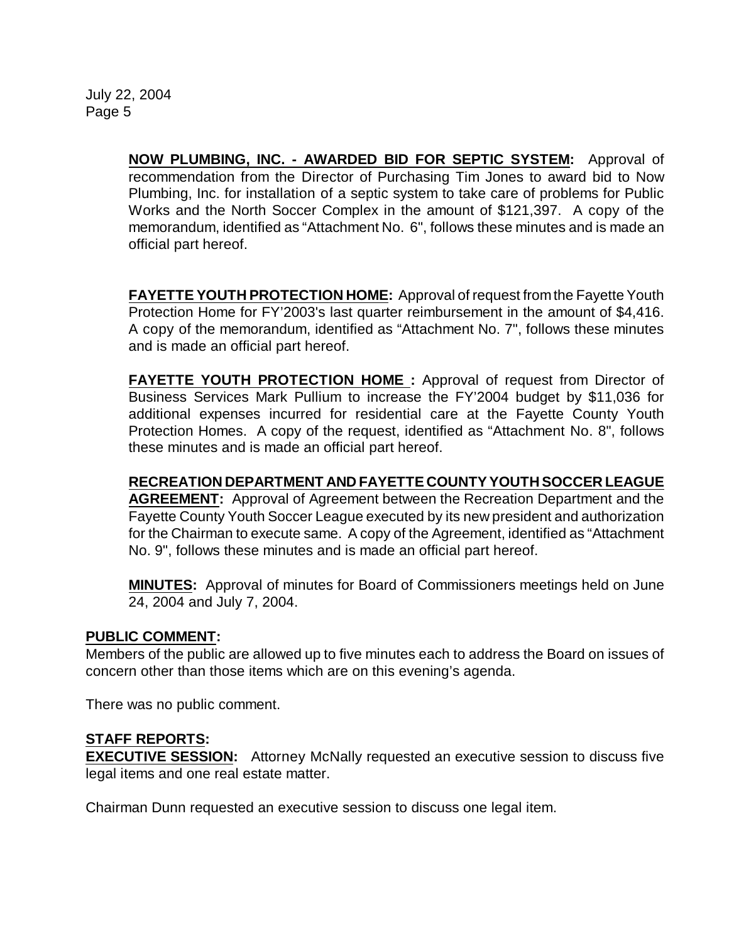**NOW PLUMBING, INC. - AWARDED BID FOR SEPTIC SYSTEM:** Approval of recommendation from the Director of Purchasing Tim Jones to award bid to Now Plumbing, Inc. for installation of a septic system to take care of problems for Public Works and the North Soccer Complex in the amount of \$121,397. A copy of the memorandum, identified as "Attachment No. 6", follows these minutes and is made an official part hereof.

**FAYETTE YOUTH PROTECTION HOME:** Approval of request fromthe Fayette Youth Protection Home for FY'2003's last quarter reimbursement in the amount of \$4,416. A copy of the memorandum, identified as "Attachment No. 7", follows these minutes and is made an official part hereof.

**FAYETTE YOUTH PROTECTION HOME :** Approval of request from Director of Business Services Mark Pullium to increase the FY'2004 budget by \$11,036 for additional expenses incurred for residential care at the Fayette County Youth Protection Homes. A copy of the request, identified as "Attachment No. 8", follows these minutes and is made an official part hereof.

**RECREATION DEPARTMENT AND FAYETTE COUNTY YOUTH SOCCER LEAGUE AGREEMENT:** Approval of Agreement between the Recreation Department and the Fayette County Youth Soccer League executed by its new president and authorization for the Chairman to execute same. A copy of the Agreement, identified as "Attachment No. 9", follows these minutes and is made an official part hereof.

**MINUTES:** Approval of minutes for Board of Commissioners meetings held on June 24, 2004 and July 7, 2004.

## **PUBLIC COMMENT:**

Members of the public are allowed up to five minutes each to address the Board on issues of concern other than those items which are on this evening's agenda.

There was no public comment.

## **STAFF REPORTS:**

**EXECUTIVE SESSION:** Attorney McNally requested an executive session to discuss five legal items and one real estate matter.

Chairman Dunn requested an executive session to discuss one legal item.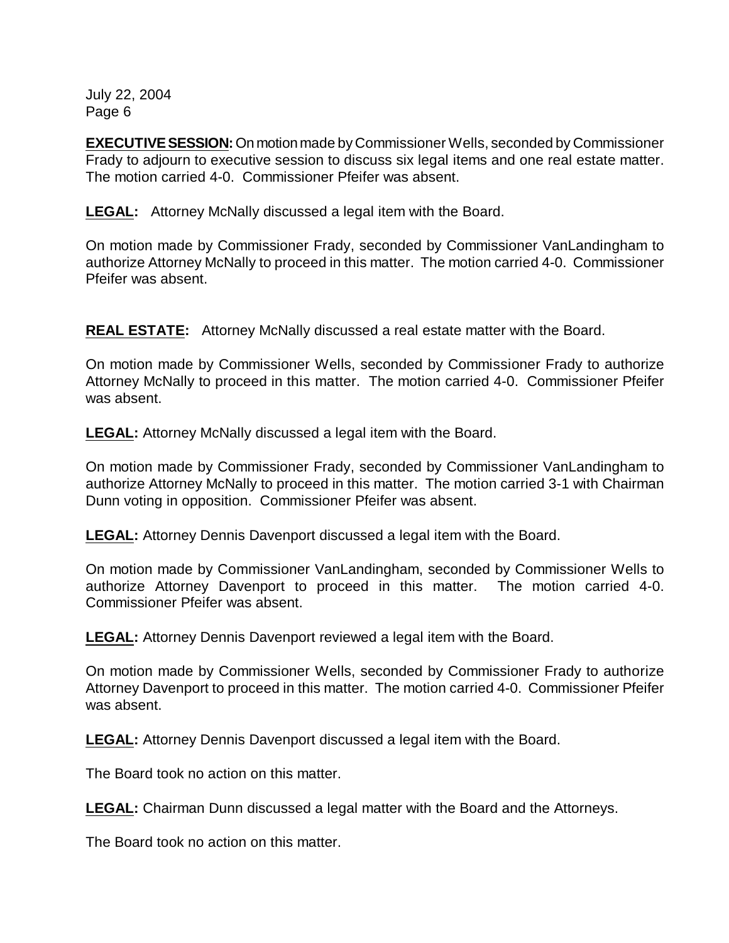**EXECUTIVE SESSION:** On motion made by Commissioner Wells, seconded by Commissioner Frady to adjourn to executive session to discuss six legal items and one real estate matter. The motion carried 4-0. Commissioner Pfeifer was absent.

**LEGAL:** Attorney McNally discussed a legal item with the Board.

On motion made by Commissioner Frady, seconded by Commissioner VanLandingham to authorize Attorney McNally to proceed in this matter. The motion carried 4-0. Commissioner Pfeifer was absent.

**REAL ESTATE:** Attorney McNally discussed a real estate matter with the Board.

On motion made by Commissioner Wells, seconded by Commissioner Frady to authorize Attorney McNally to proceed in this matter. The motion carried 4-0. Commissioner Pfeifer was absent.

**LEGAL:** Attorney McNally discussed a legal item with the Board.

On motion made by Commissioner Frady, seconded by Commissioner VanLandingham to authorize Attorney McNally to proceed in this matter. The motion carried 3-1 with Chairman Dunn voting in opposition. Commissioner Pfeifer was absent.

**LEGAL:** Attorney Dennis Davenport discussed a legal item with the Board.

On motion made by Commissioner VanLandingham, seconded by Commissioner Wells to authorize Attorney Davenport to proceed in this matter. The motion carried 4-0. Commissioner Pfeifer was absent.

**LEGAL:** Attorney Dennis Davenport reviewed a legal item with the Board.

On motion made by Commissioner Wells, seconded by Commissioner Frady to authorize Attorney Davenport to proceed in this matter. The motion carried 4-0. Commissioner Pfeifer was absent.

**LEGAL:** Attorney Dennis Davenport discussed a legal item with the Board.

The Board took no action on this matter.

**LEGAL:** Chairman Dunn discussed a legal matter with the Board and the Attorneys.

The Board took no action on this matter.